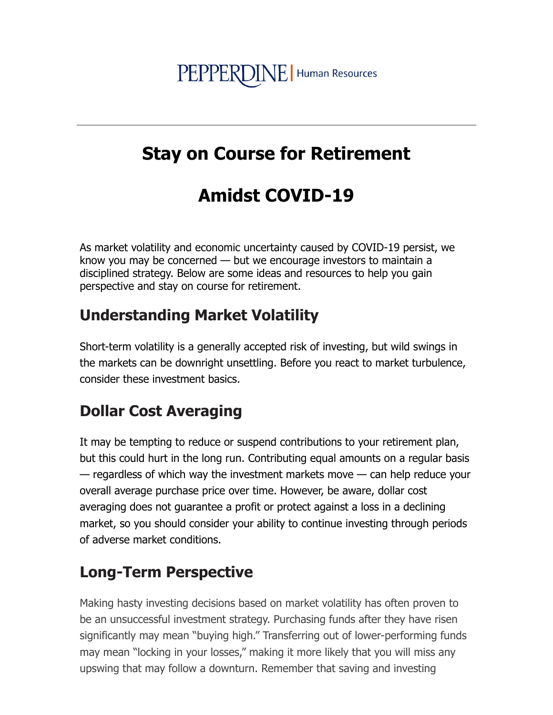# PEPPERDINE | Human Resources

### **Stay on Course for Retirement**

## **Amidst COVID-19**

As market volatility and economic uncertainty caused by COVID-19 persist, we know you may be concerned  $-$  but we encourage investors to maintain a disciplined strategy. Below are some ideas and resources to help you gain perspective and stay on course for retirement.

#### **Understanding Market Volatility**

Short-term volatility is a generally accepted risk of investing, but wild swings in the markets can be downright unsettling. Before you react to market turbulence, consider these investment basics.

#### **Dollar Cost Averaging**

It may be tempting to reduce or suspend contributions to your retirement plan, but this could hurt in the long run. Contributing equal amounts on a regular basis — regardless of which way the investment markets move — can help reduce your overall average purchase price over time. However, be aware, dollar cost averaging does not guarantee a profit or protect against a loss in a declining market, so you should consider your ability to continue investing through periods of adverse market conditions.

#### **Long-Term Perspective**

Making hasty investing decisions based on market volatility has often proven to be an unsuccessful investment strategy. Purchasing funds after they have risen significantly may mean "buying high." Transferring out of lower-performing funds may mean "locking in your losses," making it more likely that you will miss any upswing that may follow a downturn. Remember that saving and investing